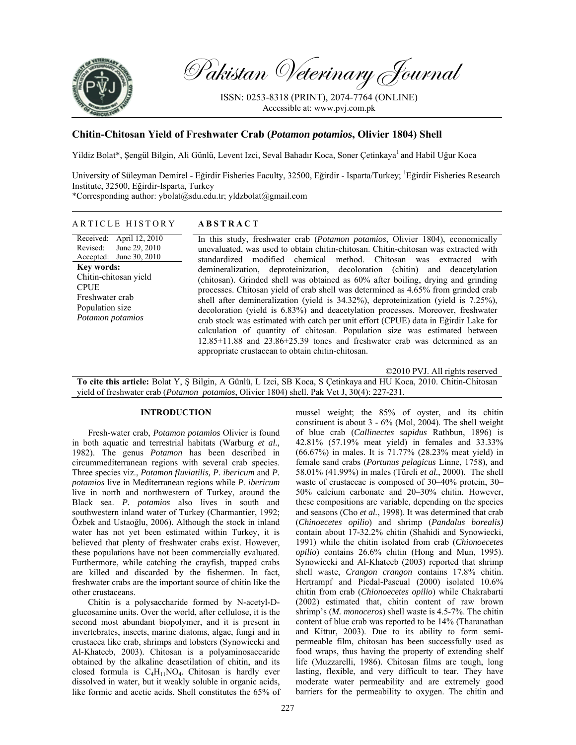

Pakistan Veterinary Journal

ISSN: 0253-8318 (PRINT), 2074-7764 (ONLINE) Accessible at: www.pvj.com.pk

# **Chitin-Chitosan Yield of Freshwater Crab (***Potamon potamios***, Olivier 1804) Shell**

Yildiz Bolat\*, Şengül Bilgin, Ali Günlü, Levent Izci, Seval Bahadır Koca, Soner Çetinkaya<sup>1</sup> and Habil Uğur Koca

University of Süleyman Demirel - Eğirdir Fisheries Faculty, 32500, Eğirdir - Isparta/Turkey; <sup>1</sup>Eğirdir Fisheries Research Institute, 32500, Eğirdir-Isparta, Turkey

\*Corresponding author: ybolat@sdu.edu.tr; yldzbolat@gmail.com

### ARTICLE HISTORY **ABSTRACT**

Received: Revised: Accepted: April 12, 2010 June 29, 2010 June 30, 2010 **Key words:**  Chitin-chitosan yield **CPUE** Freshwater crab Population size *Potamon potamios*

In this study, freshwater crab (*Potamon potamios*, Olivier 1804), economically unevaluated, was used to obtain chitin-chitosan. Chitin-chitosan was extracted with standardized modified chemical method. Chitosan was extracted with demineralization, deproteinization, decoloration (chitin) and deacetylation (chitosan). Grinded shell was obtained as 60% after boiling, drying and grinding processes. Chitosan yield of crab shell was determined as 4.65% from grinded crab shell after demineralization (yield is 34.32%), deproteinization (yield is 7.25%), decoloration (yield is 6.83%) and deacetylation processes. Moreover, freshwater crab stock was estimated with catch per unit effort (CPUE) data in Eğirdir Lake for calculation of quantity of chitosan. Population size was estimated between  $12.85\pm11.88$  and  $23.86\pm25.39$  tones and freshwater crab was determined as an appropriate crustacean to obtain chitin-chitosan.

©2010 PVJ. All rights reserved

**To cite this article:** Bolat Y, Ş Bilgin, A Günlü, L Izci, SB Koca, S Çetinkaya and HU Koca, 2010. Chitin-Chitosan yield of freshwater crab (*Potamon potamios*, Olivier 1804) shell. Pak Vet J, 30(4): 227-231.

#### **INTRODUCTION**

Fresh-water crab, *Potamon potamios* Olivier is found in both aquatic and terrestrial habitats (Warburg *et al.,* 1982). The genus *Potamon* has been described in circummediterranean regions with several crab species. Three species viz., *Potamon fluviatilis, P. ibericum* and *P. potamios* live in Mediterranean regions while *P. ibericum* live in north and northwestern of Turkey, around the Black sea. *P. potamios* also lives in south and southwestern inland water of Turkey (Charmantier, 1992; Özbek and Ustaoğlu, 2006). Although the stock in inland water has not yet been estimated within Turkey, it is believed that plenty of freshwater crabs exist. However, these populations have not been commercially evaluated. Furthermore, while catching the crayfish, trapped crabs are killed and discarded by the fishermen. In fact, freshwater crabs are the important source of chitin like the other crustaceans.

Chitin is a polysaccharide formed by N-acetyl-Dglucosamine units. Over the world, after cellulose, it is the second most abundant biopolymer, and it is present in invertebrates, insects, marine diatoms, algae, fungi and in crustacea like crab, shrimps and lobsters (Synowiecki and Al-Khateeb, 2003). Chitosan is a polyaminosaccaride obtained by the alkaline deasetilation of chitin, and its closed formula is  $C_4H_{11}NO_4$ . Chitosan is hardly ever dissolved in water, but it weakly soluble in organic acids, like formic and acetic acids. Shell constitutes the 65% of mussel weight; the 85% of oyster, and its chitin constituent is about 3 - 6% (Mol, 2004). The shell weight of blue crab (*Callinectes sapidus* Rathbun, 1896) is 42.81% (57.19% meat yield) in females and 33.33% (66.67%) in males. It is 71.77% (28.23% meat yield) in female sand crabs (*Portunus pelagicus* Linne, 1758), and 58.01% (41.99%) in males (Türeli *et al.*, 2000). The shell waste of crustaceae is composed of 30–40% protein, 30– 50% calcium carbonate and 20–30% chitin. However, these compositions are variable, depending on the species and seasons (Cho *et al.*, 1998). It was determined that crab (*Chinoecetes opilio*) and shrimp (*Pandalus borealis)* contain about 17-32.2% chitin (Shahidi and Synowiecki, 1991) while the chitin isolated from crab (*Chionoecetes opilio*) contains 26.6% chitin (Hong and Mun, 1995). Synowiecki and Al-Khateeb (2003) reported that shrimp shell waste, *Crangon crangon* contains 17.8% chitin. Hertrampf and Piedal-Pascual (2000) isolated 10.6% chitin from crab (*Chionoecetes opilio*) while Chakrabarti (2002) estimated that, chitin content of raw brown shrimp's (*M. monoceros*) shell waste is 4.5-7%. The chitin content of blue crab was reported to be 14% (Tharanathan and Kittur, 2003). Due to its ability to form semipermeable film, chitosan has been successfully used as food wraps, thus having the property of extending shelf life (Muzzarelli, 1986). Chitosan films are tough, long lasting, flexible, and very difficult to tear. They have moderate water permeability and are extremely good barriers for the permeability to oxygen. The chitin and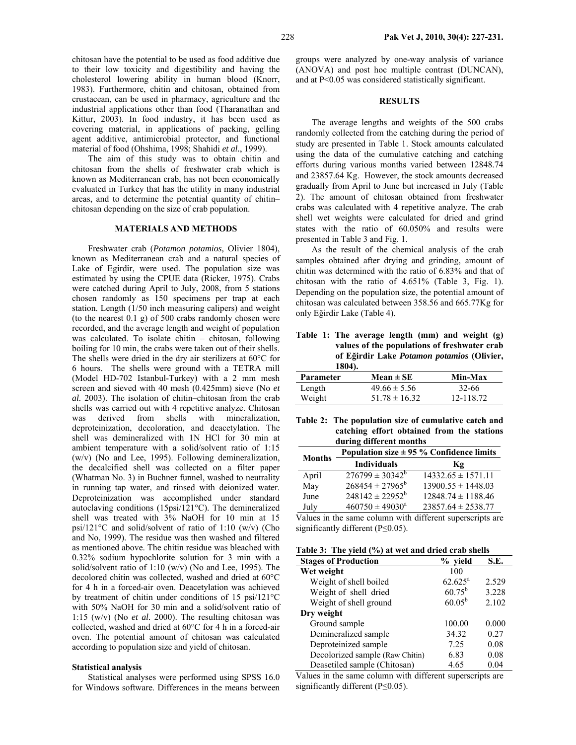chitosan have the potential to be used as food additive due to their low toxicity and digestibility and having the cholesterol lowering ability in human blood (Knorr, 1983). Furthermore, chitin and chitosan, obtained from crustacean, can be used in pharmacy, agriculture and the industrial applications other than food (Tharanathan and Kittur, 2003). In food industry, it has been used as covering material, in applications of packing, gelling agent additive, antimicrobial protector, and functional material of food (Ohshima, 1998; Shahidi *et al.*, 1999).

The aim of this study was to obtain chitin and chitosan from the shells of freshwater crab which is known as Mediterranean crab, has not been economically evaluated in Turkey that has the utility in many industrial areas, and to determine the potential quantity of chitin– chitosan depending on the size of crab population.

### **MATERIALS AND METHODS**

Freshwater crab (*Potamon potamios,* Olivier 1804), known as Mediterranean crab and a natural species of Lake of Egirdir, were used. The population size was estimated by using the CPUE data (Ricker, 1975). Crabs were catched during April to July, 2008, from 5 stations chosen randomly as 150 specimens per trap at each station. Length (1/50 inch measuring calipers) and weight (to the nearest 0.1 g) of 500 crabs randomly chosen were recorded, and the average length and weight of population was calculated. To isolate chitin – chitosan, following boiling for 10 min, the crabs were taken out of their shells. The shells were dried in the dry air sterilizers at 60°C for 6 hours. The shells were ground with a TETRA mill (Model HD-702 Istanbul-Turkey) with a 2 mm mesh screen and sieved with 40 mesh (0.425mm) sieve (No *et al.* 2003). The isolation of chitin–chitosan from the crab shells was carried out with 4 repetitive analyze. Chitosan was derived from shells with mineralization, deproteinization, decoloration, and deacetylation. The shell was demineralized with 1N HCl for 30 min at ambient temperature with a solid/solvent ratio of 1:15 (w/v) (No and Lee, 1995). Following demineralization, the decalcified shell was collected on a filter paper (Whatman No. 3) in Buchner funnel, washed to neutrality in running tap water, and rinsed with deionized water. Deproteinization was accomplished under standard autoclaving conditions (15psi/121°C). The demineralized shell was treated with 3% NaOH for 10 min at 15 psi/121°C and solid/solvent of ratio of 1:10 (w/v) (Cho and No, 1999). The residue was then washed and filtered as mentioned above. The chitin residue was bleached with 0.32% sodium hypochlorite solution for 3 min with a solid/solvent ratio of 1:10 (w/v) (No and Lee, 1995). The decolored chitin was collected, washed and dried at 60°C for 4 h in a forced-air oven. Deacetylation was achieved by treatment of chitin under conditions of 15 psi/121°C with 50% NaOH for 30 min and a solid/solvent ratio of 1:15 (w/v) (No *et al.* 2000). The resulting chitosan was collected, washed and dried at 60°C for 4 h in a forced-air oven. The potential amount of chitosan was calculated according to population size and yield of chitosan.

#### **Statistical analysis**

Statistical analyses were performed using SPSS 16.0 for Windows software. Differences in the means between groups were analyzed by one-way analysis of variance (ANOVA) and post hoc multiple contrast (DUNCAN), and at P<0.05 was considered statistically significant.

### **RESULTS**

The average lengths and weights of the 500 crabs randomly collected from the catching during the period of study are presented in Table 1. Stock amounts calculated using the data of the cumulative catching and catching efforts during various months varied between 12848.74 and 23857.64 Kg. However, the stock amounts decreased gradually from April to June but increased in July (Table 2). The amount of chitosan obtained from freshwater crabs was calculated with 4 repetitive analyze. The crab shell wet weights were calculated for dried and grind states with the ratio of 60.050% and results were presented in Table 3 and Fig. 1.

As the result of the chemical analysis of the crab samples obtained after drying and grinding, amount of chitin was determined with the ratio of 6.83% and that of chitosan with the ratio of 4.651% (Table 3, Fig. 1). Depending on the population size, the potential amount of chitosan was calculated between 358.56 and 665.77Kg for only Eğirdir Lake (Table 4).

**Table 1: The average length (mm) and weight (g) values of the populations of freshwater crab of Eğirdir Lake** *Potamon potamios* **(Olivier, 1804).** 

| 1007).           |                   |           |
|------------------|-------------------|-----------|
| <b>Parameter</b> | $Mean \pm SE$     | Min-Max   |
| Length           | $49.66 \pm 5.56$  | 32-66     |
| Weight           | $51.78 \pm 16.32$ | 12-118.72 |

**Table 2: The population size of cumulative catch and catching effort obtained from the stations during different months** 

|               | Population size $\pm$ 95 % Confidence limits |                        |  |
|---------------|----------------------------------------------|------------------------|--|
| <b>Months</b> | <b>Individuals</b>                           | Κg                     |  |
| April         | $276799 \pm 30342^b$                         | $14332.65 \pm 1571.11$ |  |
| May           | $268454 \pm 27965^b$                         | $13900.55 \pm 1448.03$ |  |
| June          | $248142 \pm 22952^b$                         | $12848.74 \pm 1188.46$ |  |
| July          | $460750 \pm 49030^a$                         | $23857.64 \pm 2538.77$ |  |

Values in the same column with different superscripts are significantly different (P≤0.05).

| Table 3: The yield $(\% )$ at wet and dried crab shells |  |  |  |  |  |  |  |
|---------------------------------------------------------|--|--|--|--|--|--|--|
|---------------------------------------------------------|--|--|--|--|--|--|--|

| <b>Stages of Production</b>     | % yield         | S.E.  |
|---------------------------------|-----------------|-------|
| Wet weight                      | 100             |       |
| Weight of shell boiled          | $62.625^a$      | 2.529 |
| Weight of shell dried           | $60.75^{b}$     | 3.228 |
| Weight of shell ground          | $60.05^{\rm b}$ | 2.102 |
| Dry weight                      |                 |       |
| Ground sample                   | 100.00          | 0.000 |
| Demineralized sample            | 34.32           | 0.27  |
| Deproteinized sample            | 7.25            | 0.08  |
| Decolorized sample (Raw Chitin) | 6.83            | 0.08  |
| Deasetiled sample (Chitosan)    | 4.65            | 0.04  |

Values in the same column with different superscripts are significantly different (P≤0.05).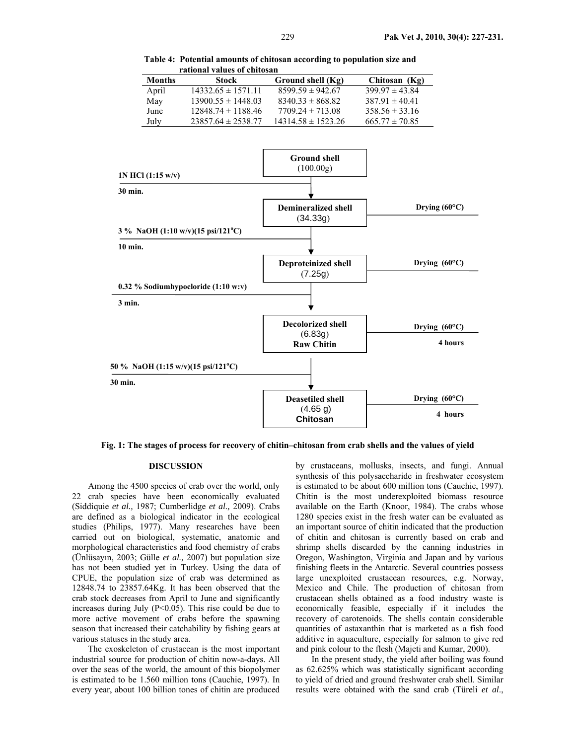**Table 4: Potential amounts of chitosan according to population size and rational values of chitosan** 

| <b>Months</b> | Stock                  | Ground shell (Kg)      | Chitosan (Kg)      |
|---------------|------------------------|------------------------|--------------------|
| April         | $14332.65 \pm 1571.11$ | $8599.59 \pm 942.67$   | $399.97 \pm 43.84$ |
| May           | $1390055 \pm 144803$   | $8340.33 \pm 868.82$   | $38791 \pm 4041$   |
| June          | $1284874 \pm 118846$   | $770924 \pm 71308$     | $358.56 \pm 33.16$ |
| July          | $2385764 \pm 253877$   | $14314.58 \pm 1523.26$ | $665.77 \pm 70.85$ |



**Fig. 1: The stages of process for recovery of chitin–chitosan from crab shells and the values of yield** 

## **DISCUSSION**

Among the 4500 species of crab over the world, only 22 crab species have been economically evaluated (Siddiquie *et al.,* 1987; Cumberlidge *et al.,* 2009). Crabs are defined as a biological indicator in the ecological studies (Philips, 1977). Many researches have been carried out on biological, systematic, anatomic and morphological characteristics and food chemistry of crabs (Ünlüsayın, 2003; Gülle *et al.,* 2007) but population size has not been studied yet in Turkey. Using the data of CPUE, the population size of crab was determined as 12848.74 to 23857.64Kg. It has been observed that the crab stock decreases from April to June and significantly increases during July  $(P<0.05)$ . This rise could be due to more active movement of crabs before the spawning season that increased their catchability by fishing gears at various statuses in the study area.

The exoskeleton of crustacean is the most important industrial source for production of chitin now-a-days. All over the seas of the world, the amount of this biopolymer is estimated to be 1.560 million tons (Cauchie, 1997). In every year, about 100 billion tones of chitin are produced

by crustaceans, mollusks, insects, and fungi. Annual synthesis of this polysaccharide in freshwater ecosystem is estimated to be about 600 million tons (Cauchie, 1997). Chitin is the most underexploited biomass resource available on the Earth (Knoor, 1984). The crabs whose 1280 species exist in the fresh water can be evaluated as an important source of chitin indicated that the production of chitin and chitosan is currently based on crab and shrimp shells discarded by the canning industries in Oregon, Washington, Virginia and Japan and by various finishing fleets in the Antarctic. Several countries possess large unexploited crustacean resources, e.g. Norway, Mexico and Chile. The production of chitosan from crustacean shells obtained as a food industry waste is economically feasible, especially if it includes the recovery of carotenoids. The shells contain considerable quantities of astaxanthin that is marketed as a fish food additive in aquaculture, especially for salmon to give red and pink colour to the flesh (Majeti and Kumar, 2000).

In the present study, the yield after boiling was found as 62.625% which was statistically significant according to yield of dried and ground freshwater crab shell. Similar results were obtained with the sand crab (Türeli *et al*.,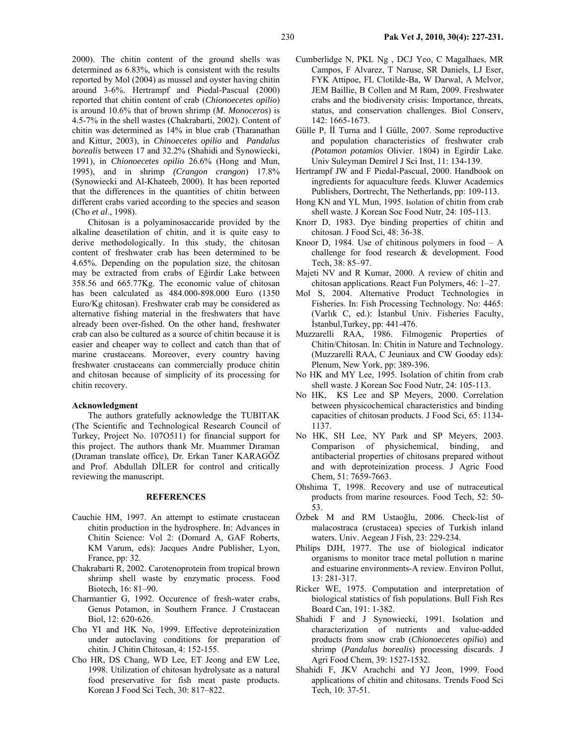2000). The chitin content of the ground shells was determined as 6.83%, which is consistent with the results reported by Mol (2004) as mussel and oyster having chitin around 3-6%. Hertrampf and Piedal-Pascual (2000) reported that chitin content of crab (*Chionoecetes opilio*) is around 10.6% that of brown shrimp (*M. Monoceros*) is 4.5-7% in the shell wastes (Chakrabarti, 2002). Content of chitin was determined as 14% in blue crab (Tharanathan and Kittur, 2003), in *Chinoecetes opilio* and *Pandalus borealis* between 17 and 32.2% (Shahidi and Synowiecki, 1991), in *Chionoecetes opilio* 26.6% (Hong and Mun, 1995), and in shrimp *(Crangon crangon*) 17.8% (Synowiecki and Al-Khateeb, 2000). It has been reported that the differences in the quantities of chitin between different crabs varied according to the species and season (Cho *et al*., 1998).

Chitosan is a polyaminosaccaride provided by the alkaline deasetilation of chitin, and it is quite easy to derive methodologically. In this study, the chitosan content of freshwater crab has been determined to be 4.65%. Depending on the population size, the chitosan may be extracted from crabs of Eğirdir Lake between 358.56 and 665.77Kg. The economic value of chitosan has been calculated as 484.000-898.000 Euro (1350 Euro/Kg chitosan). Freshwater crab may be considered as alternative fishing material in the freshwaters that have already been over-fished. On the other hand, freshwater crab can also be cultured as a source of chitin because it is easier and cheaper way to collect and catch than that of marine crustaceans. Moreover, every country having freshwater crustaceans can commercially produce chitin and chitosan because of simplicity of its processing for chitin recovery.

#### **Acknowledgment**

The authors gratefully acknowledge the TUBITAK (The Scientific and Technological Research Council of Turkey, Project No. 107O511) for financial support for this project. The authors thank Mr. Muammer Dıraman (Dıraman translate office), Dr. Erkan Taner KARAGÖZ and Prof. Abdullah DİLER for control and critically reviewing the manuscript.

### **REFERENCES**

- Cauchie HM, 1997. An attempt to estimate crustacean chitin production in the hydrosphere. In: Advances in Chitin Science: Vol 2: (Domard A, GAF Roberts, KM Varum, eds): Jacques Andre Publisher, Lyon, France, pp: 32.
- Chakrabarti R, 2002. Carotenoprotein from tropical brown shrimp shell waste by enzymatic process. Food Biotech, 16: 81–90.
- Charmantier G, 1992. Occurence of fresh-water crabs, Genus Potamon, in Southern France. J Crustacean Biol, 12: 620-626.
- Cho YI and HK No, 1999. Effective deproteinization under autoclaving conditions for preparation of chitin*.* J Chitin Chitosan, 4: 152-155.
- Cho HR, DS Chang, WD Lee, ET Jeong and EW Lee, 1998. Utilization of chitosan hydrolysate as a natural food preservative for fish meat paste products. Korean J Food Sci Tech, 30: 817–822.
- Cumberlidge N, PKL Ng , DCJ Yeo, C Magalhaes, MR Campos, F Alvarez, T Naruse, SR Daniels, LJ Eser, FYK Attipoe, FL Clotilde-Ba, W Darwal, A Mclvor, JEM Baillie, B Collen and M Ram, 2009. Freshwater crabs and the biodiversity crisis: Importance, threats, status, and conservation challenges. Biol Conserv, 142: 1665-1673.
- Gülle P, İİ Turna and İ Gülle, 2007. Some reproductive and population characteristics of freshwater crab *(Potamon potamios* Olivier. 1804) in Egirdir Lake. Univ Suleyman Demirel J Sci Inst, 11: 134-139.
- Hertrampf JW and F Piedal-Pascual, 2000. Handbook on ingredients for aquaculture feeds. Kluwer Academics Publishers, Dortrecht, The Netherlands, pp: 109-113.
- Hong KN and YL Mun, 1995. Isolation of chitin from crab shell waste. J Korean Soc Food Nutr, 24: 105-113.
- Knorr D, 1983. Dye binding properties of chitin and chitosan. J Food Sci, 48: 36-38.
- Knoor D, 1984. Use of chitinous polymers in food  $A$ challenge for food research & development. Food Tech, 38: 85–97.
- Majeti NV and R Kumar, 2000. A review of chitin and chitosan applications. React Fun Polymers, 46: 1–27.
- Mol S, 2004. Alternative Product Technologies in Fisheries. In: Fish Processing Technology. No: 4465: (Varlık C, ed.): İstanbul Univ. Fisheries Faculty, İstanbul,Turkey, pp: 441-476.
- Muzzarelli RAA, 1986. Filmogenic Properties of Chitin/Chitosan. In: Chitin in Nature and Technology. (Muzzarelli RAA, C Jeuniaux and CW Gooday eds): Plenum, New York, pp: 389-396.
- No HK and MY Lee, 1995. Isolation of chitin from crab shell waste. J Korean Soc Food Nutr, 24: 105-113.
- No HK, KS Lee and SP Meyers, 2000. Correlation between physicochemical characteristics and binding capacities of chitosan products. J Food Sci, 65: 1134- 1137.
- No HK, SH Lee, NY Park and SP Meyers, 2003. Comparison of physichemical, binding, and antibacterial properties of chitosans prepared without and with deproteinization process. J Agric Food Chem, 51: 7659-7663.
- Ohshima T, 1998. Recovery and use of nutraceutical products from marine resources. Food Tech, 52: 50- 53.
- Özbek M and RM Ustaoğlu, 2006. Check-list of malacostraca (crustacea) species of Turkish inland waters. Univ. Aegean J Fish, 23: 229-234.
- Philips DJH, 1977. The use of biological indicator organisms to monitor trace metal pollution n marine and estuarine environments-A review. Environ Pollut, 13: 281-317.
- Ricker WE, 1975. Computation and interpretation of biological statistics of fish populations. Bull Fish Res Board Can, 191: 1-382.
- Shahidi F and J Synowiecki, 1991. Isolation and characterization of nutrients and value-added products from snow crab (*Chionoecetes opil*io) and shrimp (*Pandalus borealis*) processing discards. J Agri Food Chem, 39: 1527-1532.
- Shahidi F, JKV Arachchi and YJ Jeon, 1999. Food applications of chitin and chitosans. Trends Food Sci Tech, 10: 37-51.